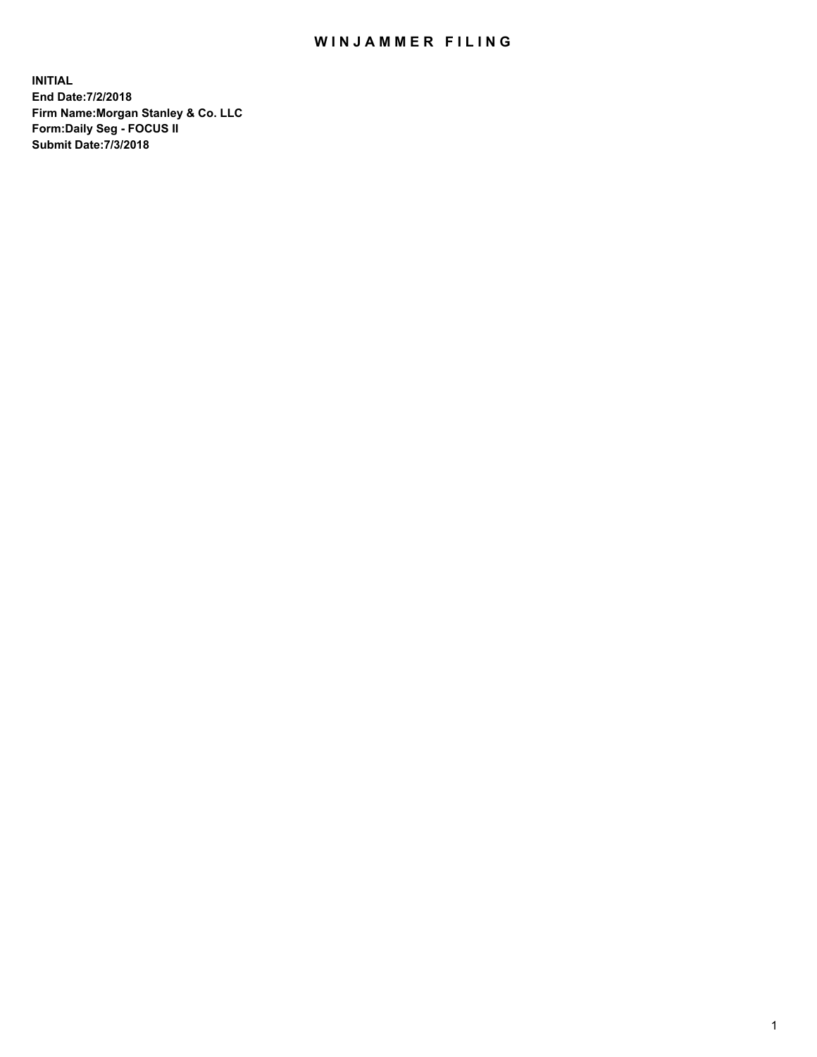## WIN JAMMER FILING

**INITIAL End Date:7/2/2018 Firm Name:Morgan Stanley & Co. LLC Form:Daily Seg - FOCUS II Submit Date:7/3/2018**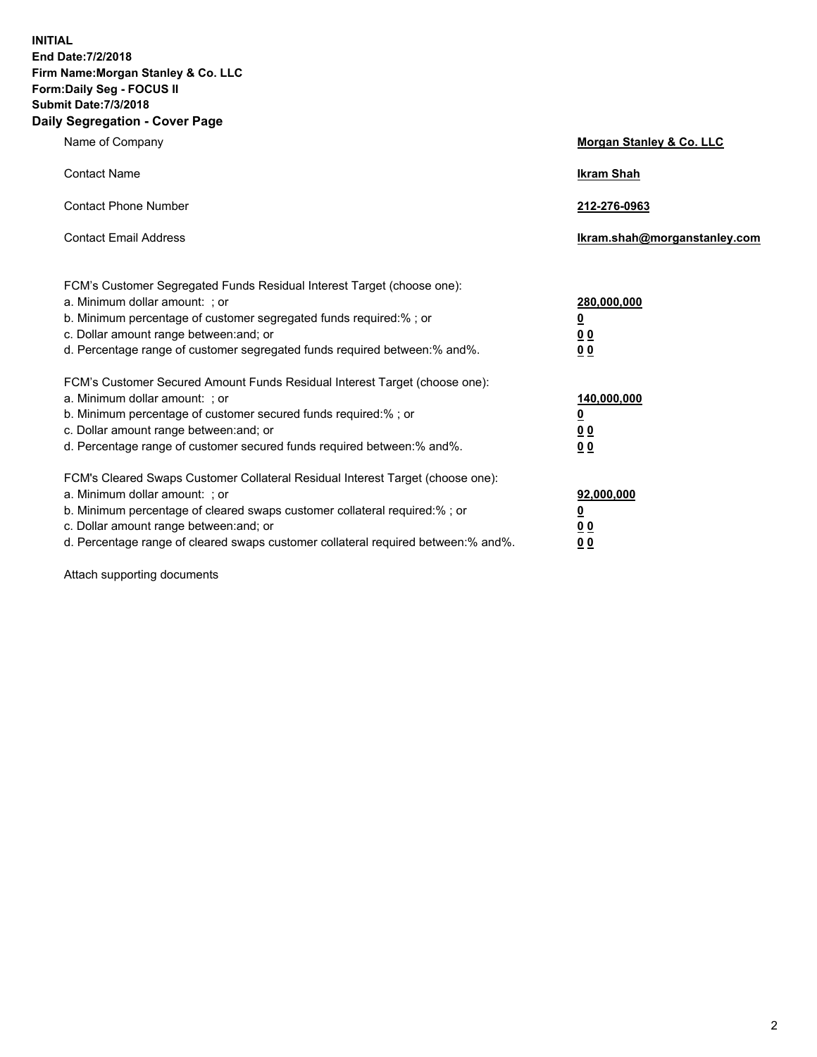**INITIAL End Date:7/2/2018 Firm Name:Morgan Stanley & Co. LLC Form:Daily Seg - FOCUS II Submit Date:7/3/2018 Daily Segregation - Cover Page**

| Name of Company                                                                                                                                                                                                                                                                                                               | Morgan Stanley & Co. LLC                               |
|-------------------------------------------------------------------------------------------------------------------------------------------------------------------------------------------------------------------------------------------------------------------------------------------------------------------------------|--------------------------------------------------------|
| <b>Contact Name</b>                                                                                                                                                                                                                                                                                                           | <b>Ikram Shah</b>                                      |
| <b>Contact Phone Number</b>                                                                                                                                                                                                                                                                                                   | 212-276-0963                                           |
| <b>Contact Email Address</b>                                                                                                                                                                                                                                                                                                  | Ikram.shah@morganstanley.com                           |
| FCM's Customer Segregated Funds Residual Interest Target (choose one):<br>a. Minimum dollar amount: : or<br>b. Minimum percentage of customer segregated funds required:% ; or<br>c. Dollar amount range between: and; or<br>d. Percentage range of customer segregated funds required between:% and%.                        | 280,000,000<br><u>0</u><br><u>00</u><br>0 <sup>0</sup> |
| FCM's Customer Secured Amount Funds Residual Interest Target (choose one):<br>a. Minimum dollar amount: ; or<br>b. Minimum percentage of customer secured funds required:%; or<br>c. Dollar amount range between: and; or<br>d. Percentage range of customer secured funds required between:% and%.                           | 140,000,000<br><u>0</u><br><u>00</u><br>0 <sup>0</sup> |
| FCM's Cleared Swaps Customer Collateral Residual Interest Target (choose one):<br>a. Minimum dollar amount: ; or<br>b. Minimum percentage of cleared swaps customer collateral required:%; or<br>c. Dollar amount range between: and; or<br>d. Percentage range of cleared swaps customer collateral required between:% and%. | 92,000,000<br><u>0</u><br><u>00</u><br>00              |

Attach supporting documents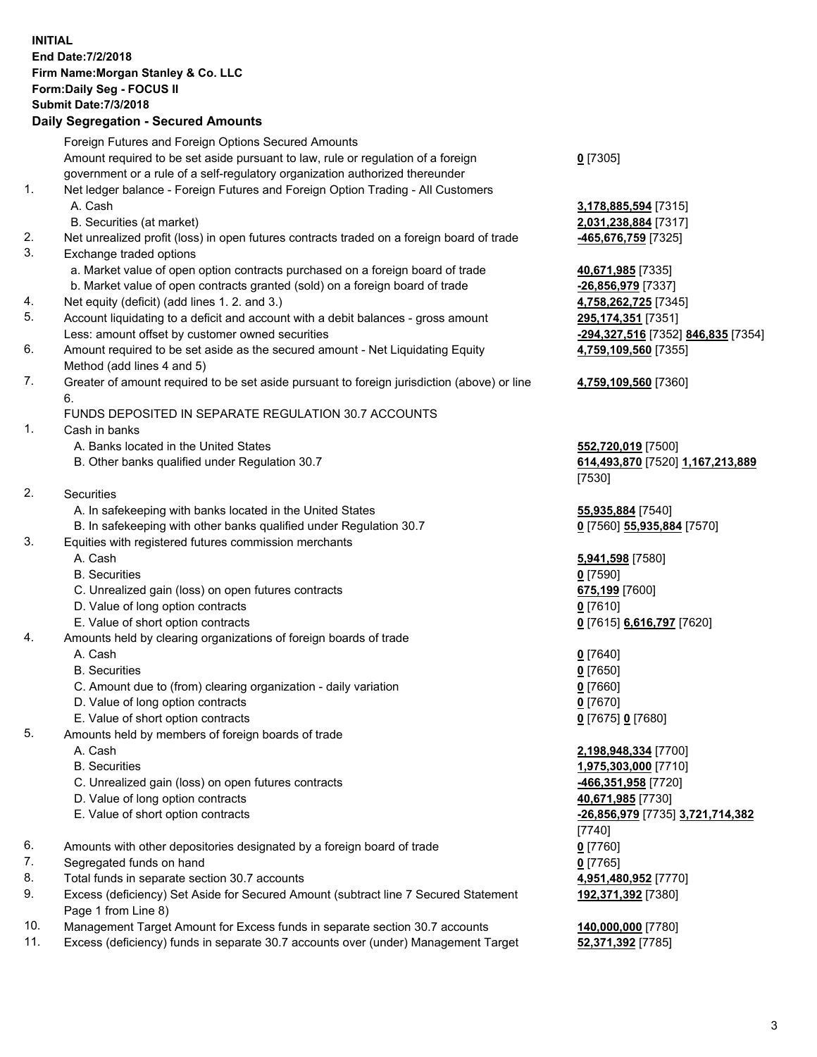## **INITIAL End Date:7/2/2018 Firm Name:Morgan Stanley & Co. LLC Form:Daily Seg - FOCUS II Submit Date:7/3/2018 Daily Segregation - Secured Amounts** Foreign Futures and Foreign Options Secured Amounts Amount required to be set aside pursuant to law, rule or regulation of a foreign government or a rule of a self-regulatory organization authorized thereunder **0** [7305] 1. Net ledger balance - Foreign Futures and Foreign Option Trading - All Customers A. Cash **3,178,885,594** [7315] B. Securities (at market) **2,031,238,884** [7317] 2. Net unrealized profit (loss) in open futures contracts traded on a foreign board of trade **-465,676,759** [7325] 3. Exchange traded options a. Market value of open option contracts purchased on a foreign board of trade **40,671,985** [7335] b. Market value of open contracts granted (sold) on a foreign board of trade **-26,856,979** [7337] 4. Net equity (deficit) (add lines 1. 2. and 3.) **4,758,262,725** [7345] 5. Account liquidating to a deficit and account with a debit balances - gross amount **295,174,351** [7351] Less: amount offset by customer owned securities **-294,327,516** [7352] **846,835** [7354] 6. Amount required to be set aside as the secured amount - Net Liquidating Equity Method (add lines 4 and 5) **4,759,109,560** [7355] 7. Greater of amount required to be set aside pursuant to foreign jurisdiction (above) or line 6. **4,759,109,560** [7360] FUNDS DEPOSITED IN SEPARATE REGULATION 30.7 ACCOUNTS 1. Cash in banks A. Banks located in the United States **552,720,019** [7500] B. Other banks qualified under Regulation 30.7 **614,493,870** [7520] **1,167,213,889** [7530] 2. Securities A. In safekeeping with banks located in the United States **55,935,884** [7540] B. In safekeeping with other banks qualified under Regulation 30.7 **0** [7560] **55,935,884** [7570] 3. Equities with registered futures commission merchants A. Cash **5,941,598** [7580] B. Securities **0** [7590] C. Unrealized gain (loss) on open futures contracts **675,199** [7600] D. Value of long option contracts **0** [7610] E. Value of short option contracts **0** [7615] **6,616,797** [7620] 4. Amounts held by clearing organizations of foreign boards of trade A. Cash **0** [7640] B. Securities **0** [7650] C. Amount due to (from) clearing organization - daily variation **0** [7660] D. Value of long option contracts **0** [7670] E. Value of short option contracts **0** [7675] **0** [7680] 5. Amounts held by members of foreign boards of trade A. Cash **2,198,948,334** [7700] B. Securities **1,975,303,000** [7710] C. Unrealized gain (loss) on open futures contracts **-466,351,958** [7720] D. Value of long option contracts **40,671,985** [7730] E. Value of short option contracts **-26,856,979** [7735] **3,721,714,382** [7740] 6. Amounts with other depositories designated by a foreign board of trade **0** [7760] 7. Segregated funds on hand **0** [7765] 8. Total funds in separate section 30.7 accounts **4,951,480,952** [7770] 9. Excess (deficiency) Set Aside for Secured Amount (subtract line 7 Secured Statement Page 1 from Line 8) **192,371,392** [7380] 10. Management Target Amount for Excess funds in separate section 30.7 accounts **140,000,000** [7780] 11. Excess (deficiency) funds in separate 30.7 accounts over (under) Management Target **52,371,392** [7785]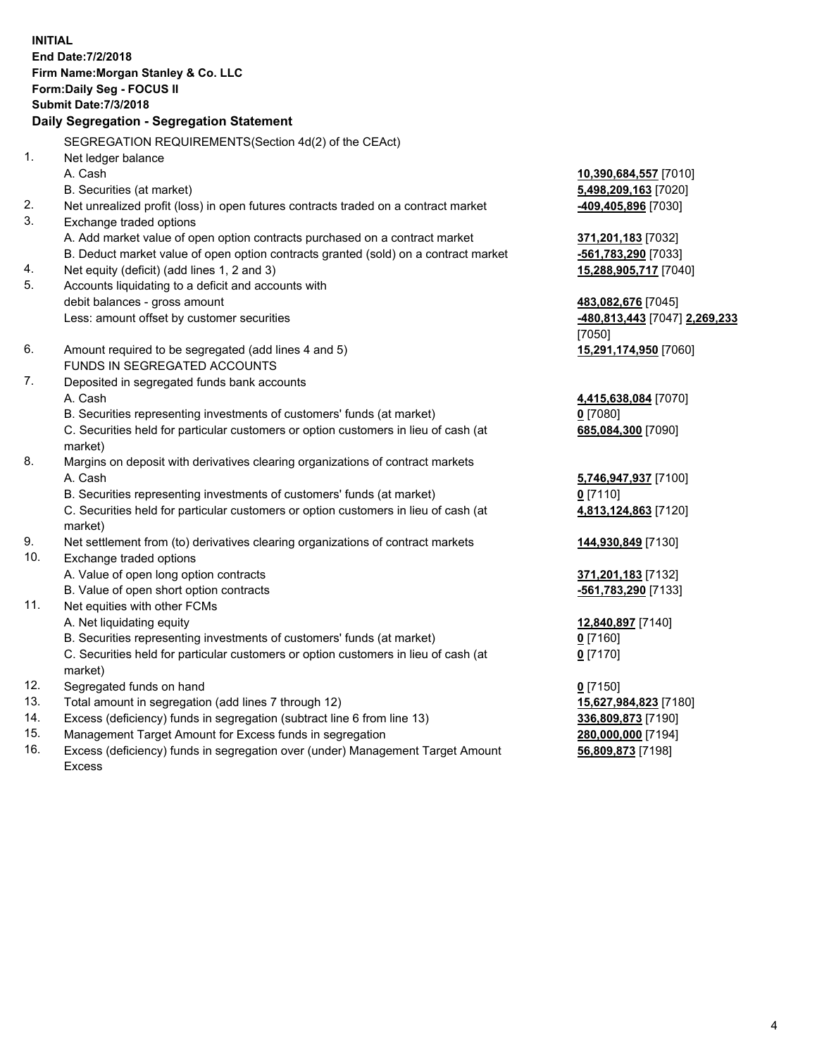**INITIAL End Date:7/2/2018 Firm Name:Morgan Stanley & Co. LLC Form:Daily Seg - FOCUS II Submit Date:7/3/2018 Daily Segregation - Segregation Statement** SEGREGATION REQUIREMENTS(Section 4d(2) of the CEAct) 1. Net ledger balance A. Cash **10,390,684,557** [7010] B. Securities (at market) **5,498,209,163** [7020] 2. Net unrealized profit (loss) in open futures contracts traded on a contract market **-409,405,896** [7030] 3. Exchange traded options A. Add market value of open option contracts purchased on a contract market **371,201,183** [7032] B. Deduct market value of open option contracts granted (sold) on a contract market **-561,783,290** [7033] 4. Net equity (deficit) (add lines 1, 2 and 3) **15,288,905,717** [7040] 5. Accounts liquidating to a deficit and accounts with debit balances - gross amount **483,082,676** [7045] Less: amount offset by customer securities **-480,813,443** [7047] **2,269,233** [7050] 6. Amount required to be segregated (add lines 4 and 5) **15,291,174,950** [7060] FUNDS IN SEGREGATED ACCOUNTS 7. Deposited in segregated funds bank accounts A. Cash **4,415,638,084** [7070] B. Securities representing investments of customers' funds (at market) **0** [7080] C. Securities held for particular customers or option customers in lieu of cash (at market) **685,084,300** [7090] 8. Margins on deposit with derivatives clearing organizations of contract markets A. Cash **5,746,947,937** [7100] B. Securities representing investments of customers' funds (at market) **0** [7110] C. Securities held for particular customers or option customers in lieu of cash (at market) **4,813,124,863** [7120] 9. Net settlement from (to) derivatives clearing organizations of contract markets **144,930,849** [7130] 10. Exchange traded options A. Value of open long option contracts **371,201,183** [7132] B. Value of open short option contracts **-561,783,290** [7133] 11. Net equities with other FCMs A. Net liquidating equity **12,840,897** [7140] B. Securities representing investments of customers' funds (at market) **0** [7160] C. Securities held for particular customers or option customers in lieu of cash (at market) **0** [7170] 12. Segregated funds on hand **0** [7150] 13. Total amount in segregation (add lines 7 through 12) **15,627,984,823** [7180] 14. Excess (deficiency) funds in segregation (subtract line 6 from line 13) **336,809,873** [7190]

- 15. Management Target Amount for Excess funds in segregation **280,000,000** [7194]
- 16. Excess (deficiency) funds in segregation over (under) Management Target Amount Excess

**56,809,873** [7198]